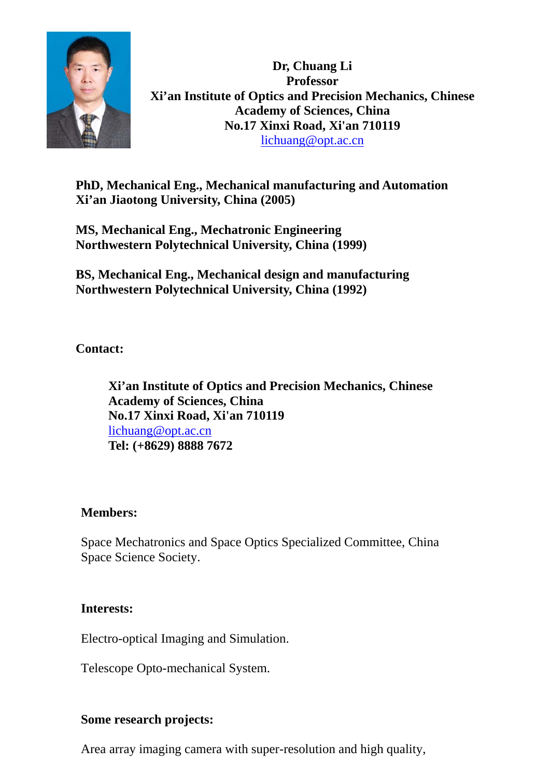

**Dr, Chuang Li Professor Xi'an Institute of Optics and Precision Mechanics, Chinese Academy of Sciences, China No.17 Xinxi Road, Xi'an 710119**  lichuang@opt.ac.cn

**PhD, Mechanical Eng., Mechanical manufacturing and Automation Xi'an Jiaotong University, China (2005)** 

**MS, Mechanical Eng., Mechatronic Engineering Northwestern Polytechnical University, China (1999)** 

**BS, Mechanical Eng., Mechanical design and manufacturing Northwestern Polytechnical University, China (1992)** 

**Contact:** 

**Xi'an Institute of Optics and Precision Mechanics, Chinese Academy of Sciences, China No.17 Xinxi Road, Xi'an 710119**  lichuang@opt.ac.cn **Tel: (+8629) 8888 7672** 

#### **Members:**

Space Mechatronics and Space Optics Specialized Committee, China Space Science Society.

#### **Interests:**

Electro-optical Imaging and Simulation.

Telescope Opto-mechanical System.

## **Some research projects:**

Area array imaging camera with super-resolution and high quality,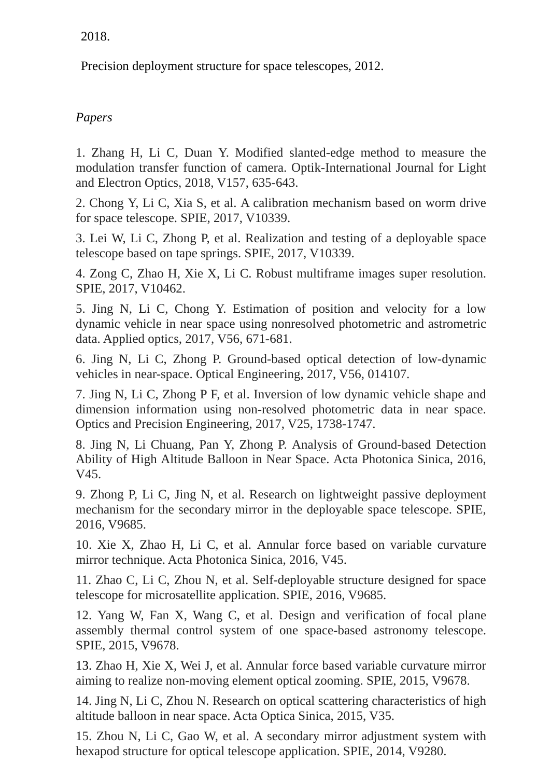2018.

Precision deployment structure for space telescopes, 2012.

# *Papers*

1. Zhang H, Li C, Duan Y. Modified slanted-edge method to measure the modulation transfer function of camera. Optik-International Journal for Light and Electron Optics, 2018, V157, 635-643.

2. Chong Y, Li C, Xia S, et al. A calibration mechanism based on worm drive for space telescope. SPIE, 2017, V10339.

3. Lei W, Li C, Zhong P, et al. Realization and testing of a deployable space telescope based on tape springs. SPIE, 2017, V10339.

4. Zong C, Zhao H, Xie X, Li C. Robust multiframe images super resolution. SPIE, 2017, V10462.

5. Jing N, Li C, Chong Y. Estimation of position and velocity for a low dynamic vehicle in near space using nonresolved photometric and astrometric data. Applied optics, 2017, V56, 671-681.

6. Jing N, Li C, Zhong P. Ground-based optical detection of low-dynamic vehicles in near-space. Optical Engineering, 2017, V56, 014107.

7. Jing N, Li C, Zhong P F, et al. Inversion of low dynamic vehicle shape and dimension information using non-resolved photometric data in near space. Optics and Precision Engineering, 2017, V25, 1738-1747.

8. Jing N, Li Chuang, Pan Y, Zhong P. Analysis of Ground-based Detection Ability of High Altitude Balloon in Near Space. Acta Photonica Sinica, 2016, V45.

9. Zhong P, Li C, Jing N, et al. Research on lightweight passive deployment mechanism for the secondary mirror in the deployable space telescope. SPIE, 2016, V9685.

10. Xie X, Zhao H, Li C, et al. Annular force based on variable curvature mirror technique. Acta Photonica Sinica, 2016, V45.

11. Zhao C, Li C, Zhou N, et al. Self-deployable structure designed for space telescope for microsatellite application. SPIE, 2016, V9685.

12. Yang W, Fan X, Wang C, et al. Design and verification of focal plane assembly thermal control system of one space-based astronomy telescope. SPIE, 2015, V9678.

13. Zhao H, Xie X, Wei J, et al. Annular force based variable curvature mirror aiming to realize non-moving element optical zooming. SPIE, 2015, V9678.

14. Jing N, Li C, Zhou N. Research on optical scattering characteristics of high altitude balloon in near space. Acta Optica Sinica, 2015, V35.

15. Zhou N, Li C, Gao W, et al. A secondary mirror adjustment system with hexapod structure for optical telescope application. SPIE, 2014, V9280.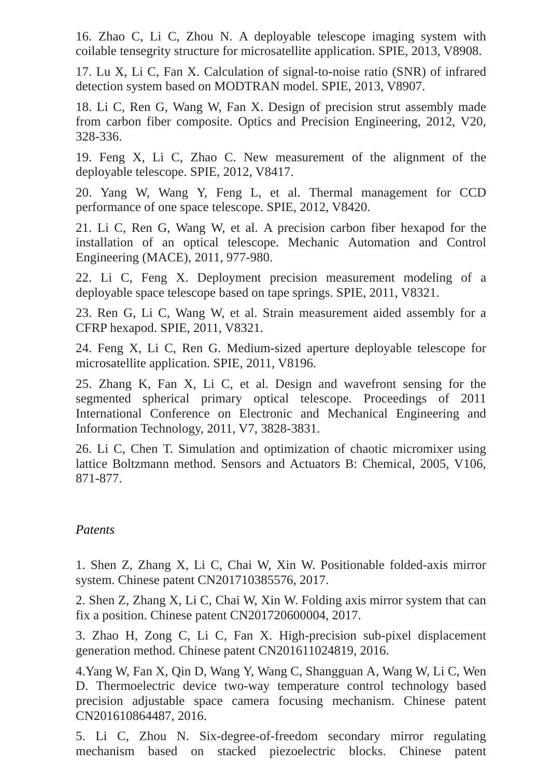16. Zhao C, Li C, Zhou N. A deployable telescope imaging system with coilable tensegrity structure for microsatellite application. SPIE, 2013, V8908.

17. Lu X, Li C, Fan X. Calculation of signal-to-noise ratio (SNR) of infrared detection system based on MODTRAN model. SPIE, 2013, V8907.

18. Li C, Ren G, Wang W, Fan X. Design of precision strut assembly made from carbon fiber composite. Optics and Precision Engineering, 2012, V20, 328-336.

19. Feng X, Li C, Zhao C. New measurement of the alignment of the deployable telescope. SPIE, 2012, V8417.

20. Yang W, Wang Y, Feng L, et al. Thermal management for CCD performance of one space telescope. SPIE, 2012, V8420.

21. Li C, Ren G, Wang W, et al. A precision carbon fiber hexapod for the installation of an optical telescope. Mechanic Automation and Control Engineering (MACE), 2011, 977-980.

22. Li C, Feng X. Deployment precision measurement modeling of a deployable space telescope based on tape springs. SPIE, 2011, V8321.

23. Ren G, Li C, Wang W, et al. Strain measurement aided assembly for a CFRP hexapod. SPIE, 2011, V8321.

24. Feng X, Li C, Ren G. Medium-sized aperture deployable telescope for microsatellite application. SPIE, 2011, V8196.

25. Zhang K, Fan X, Li C, et al. Design and wavefront sensing for the segmented spherical primary optical telescope. Proceedings of 2011 International Conference on Electronic and Mechanical Engineering and Information Technology, 2011, V7, 3828-3831.

26. Li C, Chen T. Simulation and optimization of chaotic micromixer using lattice Boltzmann method. Sensors and Actuators B: Chemical, 2005, V106, 871-877.

#### *Patents*

1. Shen Z, Zhang X, Li C, Chai W, Xin W. Positionable folded-axis mirror system. Chinese patent CN201710385576, 2017.

2. Shen Z, Zhang X, Li C, Chai W, Xin W. Folding axis mirror system that can fix a position. Chinese patent CN201720600004, 2017.

3. Zhao H, Zong C, Li C, Fan X. High-precision sub-pixel displacement generation method. Chinese patent CN201611024819, 2016.

4.Yang W, Fan X, Qin D, Wang Y, Wang C, Shangguan A, Wang W, Li C, Wen D. Thermoelectric device two-way temperature control technology based precision adjustable space camera focusing mechanism. Chinese patent CN201610864487, 2016.

5. Li C, Zhou N. Six-degree-of-freedom secondary mirror regulating mechanism based on stacked piezoelectric blocks. Chinese patent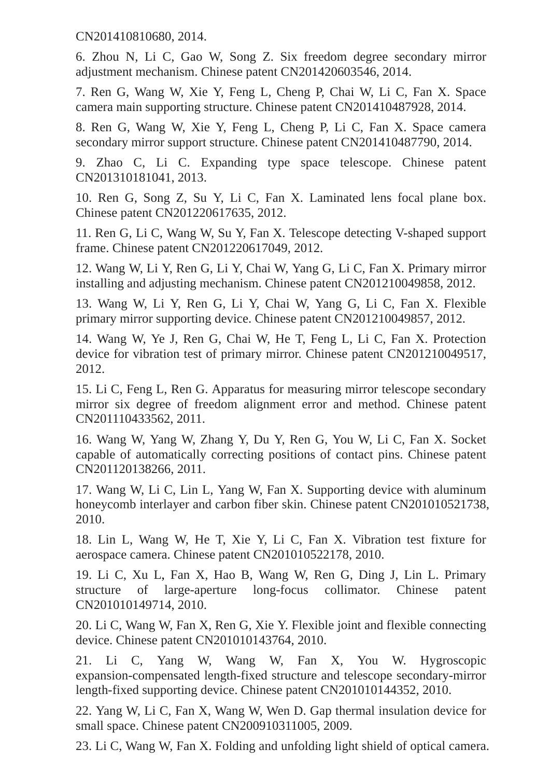CN201410810680, 2014.

6. Zhou N, Li C, Gao W, Song Z. Six freedom degree secondary mirror adjustment mechanism. Chinese patent CN201420603546, 2014.

7. Ren G, Wang W, Xie Y, Feng L, Cheng P, Chai W, Li C, Fan X. Space camera main supporting structure. Chinese patent CN201410487928, 2014.

8. Ren G, Wang W, Xie Y, Feng L, Cheng P, Li C, Fan X. Space camera secondary mirror support structure. Chinese patent CN201410487790, 2014.

9. Zhao C, Li C. Expanding type space telescope. Chinese patent CN201310181041, 2013.

10. Ren G, Song Z, Su Y, Li C, Fan X. Laminated lens focal plane box. Chinese patent CN201220617635, 2012.

11. Ren G, Li C, Wang W, Su Y, Fan X. Telescope detecting V-shaped support frame. Chinese patent CN201220617049, 2012.

12. Wang W, Li Y, Ren G, Li Y, Chai W, Yang G, Li C, Fan X. Primary mirror installing and adjusting mechanism. Chinese patent CN201210049858, 2012.

13. Wang W, Li Y, Ren G, Li Y, Chai W, Yang G, Li C, Fan X. Flexible primary mirror supporting device. Chinese patent CN201210049857, 2012.

14. Wang W, Ye J, Ren G, Chai W, He T, Feng L, Li C, Fan X. Protection device for vibration test of primary mirror. Chinese patent CN201210049517, 2012.

15. Li C, Feng L, Ren G. Apparatus for measuring mirror telescope secondary mirror six degree of freedom alignment error and method. Chinese patent CN201110433562, 2011.

16. Wang W, Yang W, Zhang Y, Du Y, Ren G, You W, Li C, Fan X. Socket capable of automatically correcting positions of contact pins. Chinese patent CN201120138266, 2011.

17. Wang W, Li C, Lin L, Yang W, Fan X. Supporting device with aluminum honeycomb interlayer and carbon fiber skin. Chinese patent CN201010521738, 2010.

18. Lin L, Wang W, He T, Xie Y, Li C, Fan X. Vibration test fixture for aerospace camera. Chinese patent CN201010522178, 2010.

19. Li C, Xu L, Fan X, Hao B, Wang W, Ren G, Ding J, Lin L. Primary structure of large-aperture long-focus collimator. Chinese patent CN201010149714, 2010.

20. Li C, Wang W, Fan X, Ren G, Xie Y. Flexible joint and flexible connecting device. Chinese patent CN201010143764, 2010.

21. Li C, Yang W, Wang W, Fan X, You W. Hygroscopic expansion-compensated length-fixed structure and telescope secondary-mirror length-fixed supporting device. Chinese patent CN201010144352, 2010.

22. Yang W, Li C, Fan X, Wang W, Wen D. Gap thermal insulation device for small space. Chinese patent CN200910311005, 2009.

23. Li C, Wang W, Fan X. Folding and unfolding light shield of optical camera.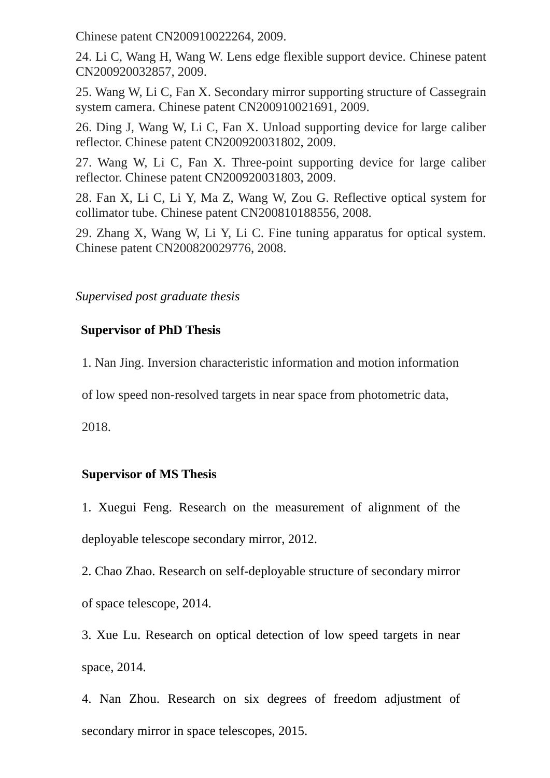Chinese patent CN200910022264, 2009.

24. Li C, Wang H, Wang W. Lens edge flexible support device. Chinese patent CN200920032857, 2009.

25. Wang W, Li C, Fan X. Secondary mirror supporting structure of Cassegrain system camera. Chinese patent CN200910021691, 2009.

26. Ding J, Wang W, Li C, Fan X. Unload supporting device for large caliber reflector. Chinese patent CN200920031802, 2009.

27. Wang W, Li C, Fan X. Three-point supporting device for large caliber reflector. Chinese patent CN200920031803, 2009.

28. Fan X, Li C, Li Y, Ma Z, Wang W, Zou G. Reflective optical system for collimator tube. Chinese patent CN200810188556, 2008.

29. Zhang X, Wang W, Li Y, Li C. Fine tuning apparatus for optical system. Chinese patent CN200820029776, 2008.

#### *Supervised post graduate thesis*

### **Supervisor of PhD Thesis**

1. Nan Jing. Inversion characteristic information and motion information

of low speed non-resolved targets in near space from photometric data,

2018.

#### **Supervisor of MS Thesis**

1. Xuegui Feng. Research on the measurement of alignment of the deployable telescope secondary mirror, 2012.

2. Chao Zhao. Research on self-deployable structure of secondary mirror of space telescope, 2014.

3. Xue Lu. Research on optical detection of low speed targets in near space, 2014.

4. Nan Zhou. Research on six degrees of freedom adjustment of secondary mirror in space telescopes, 2015.